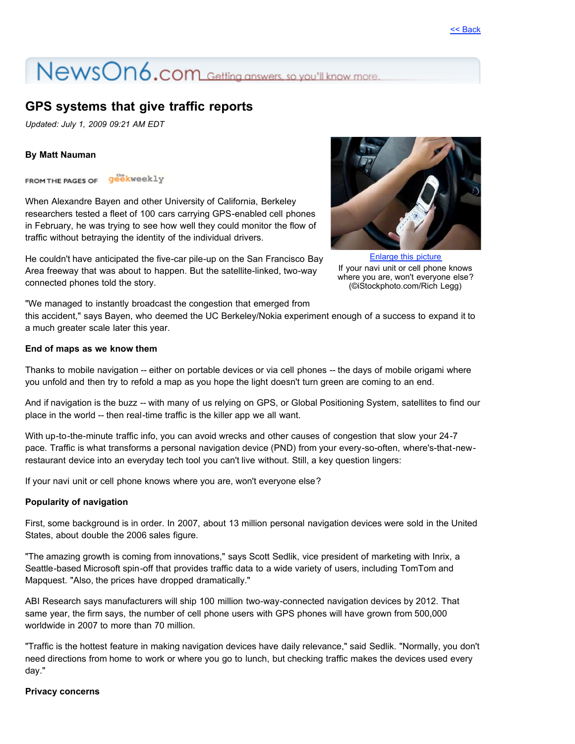# NewsOn6.com Getting answers, so you'll know more.

## **GPS systems that give traffic reports**

*Updated: July 1, 2009 09:21 AM EDT*

#### **By Matt Nauman**

FROM THE PAGES OF Geekweekly

When Alexandre Bayen and other University of California, Berkeley researchers tested a fleet of 100 cars carrying GPS-enabled cell phones in February, he was trying to see how well they could monitor the flow of traffic without betraying the identity of the individual drivers.

He couldn't have anticipated the five-car pile-up on the San Francisco Bay Area freeway that was about to happen. But the satellite-linked, two-way connected phones told the story.



[Enlarge this picture](http://images.worldnow.com/studioone/images/10620305_BG1.jpg) If your navi unit or cell phone knows where you are, won't everyone else? (©iStockphoto.com/Rich Legg)

"We managed to instantly broadcast the congestion that emerged from

this accident," says Bayen, who deemed the UC Berkeley/Nokia experiment enough of a success to expand it to a much greater scale later this year.

#### **End of maps as we know them**

Thanks to mobile navigation -- either on portable devices or via cell phones -- the days of mobile origami where you unfold and then try to refold a map as you hope the light doesn't turn green are coming to an end.

And if navigation is the buzz -- with many of us relying on GPS, or Global Positioning System, satellites to find our place in the world -- then real-time traffic is the killer app we all want.

With up-to-the-minute traffic info, you can avoid wrecks and other causes of congestion that slow your 24-7 pace. Traffic is what transforms a personal navigation device (PND) from your every-so-often, where's-that-newrestaurant device into an everyday tech tool you can't live without. Still, a key question lingers:

If your navi unit or cell phone knows where you are, won't everyone else?

#### **Popularity of navigation**

First, some background is in order. In 2007, about 13 million personal navigation devices were sold in the United States, about double the 2006 sales figure.

"The amazing growth is coming from innovations," says Scott Sedlik, vice president of marketing with Inrix, a Seattle-based Microsoft spin-off that provides traffic data to a wide variety of users, including TomTom and Mapquest. "Also, the prices have dropped dramatically."

ABI Research says manufacturers will ship 100 million two-way-connected navigation devices by 2012. That same year, the firm says, the number of cell phone users with GPS phones will have grown from 500,000 worldwide in 2007 to more than 70 million.

"Traffic is the hottest feature in making navigation devices have daily relevance," said Sedlik. "Normally, you don't need directions from home to work or where you go to lunch, but checking traffic makes the devices used every day."

#### **Privacy concerns**